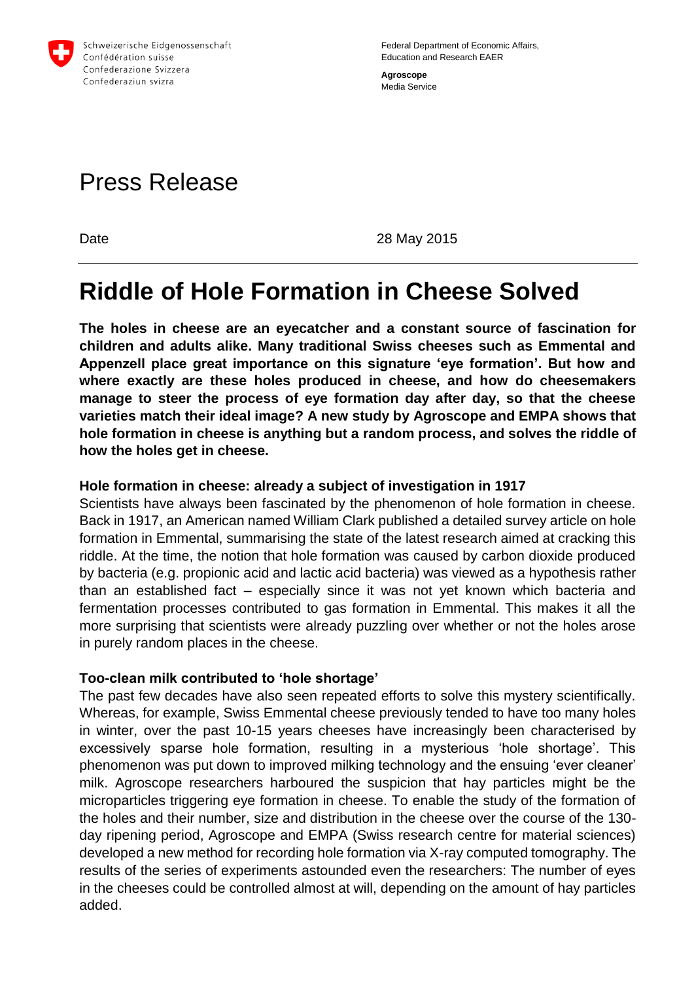

Federal Department of Economic Affairs, Education and Research EAER **Agroscope**

Media Service

# Press Release

Date 28 May 2015

## **Riddle of Hole Formation in Cheese Solved**

**The holes in cheese are an eyecatcher and a constant source of fascination for children and adults alike. Many traditional Swiss cheeses such as Emmental and Appenzell place great importance on this signature 'eye formation'. But how and where exactly are these holes produced in cheese, and how do cheesemakers manage to steer the process of eye formation day after day, so that the cheese varieties match their ideal image? A new study by Agroscope and EMPA shows that hole formation in cheese is anything but a random process, and solves the riddle of how the holes get in cheese.** 

#### **Hole formation in cheese: already a subject of investigation in 1917**

Scientists have always been fascinated by the phenomenon of hole formation in cheese. Back in 1917, an American named William Clark published a detailed survey article on hole formation in Emmental, summarising the state of the latest research aimed at cracking this riddle. At the time, the notion that hole formation was caused by carbon dioxide produced by bacteria (e.g. propionic acid and lactic acid bacteria) was viewed as a hypothesis rather than an established fact – especially since it was not yet known which bacteria and fermentation processes contributed to gas formation in Emmental. This makes it all the more surprising that scientists were already puzzling over whether or not the holes arose in purely random places in the cheese.

#### **Too-clean milk contributed to 'hole shortage'**

The past few decades have also seen repeated efforts to solve this mystery scientifically. Whereas, for example, Swiss Emmental cheese previously tended to have too many holes in winter, over the past 10-15 years cheeses have increasingly been characterised by excessively sparse hole formation, resulting in a mysterious 'hole shortage'. This phenomenon was put down to improved milking technology and the ensuing 'ever cleaner' milk. Agroscope researchers harboured the suspicion that hay particles might be the microparticles triggering eye formation in cheese. To enable the study of the formation of the holes and their number, size and distribution in the cheese over the course of the 130 day ripening period, Agroscope and EMPA (Swiss research centre for material sciences) developed a new method for recording hole formation via X-ray computed tomography. The results of the series of experiments astounded even the researchers: The number of eyes in the cheeses could be controlled almost at will, depending on the amount of hay particles added.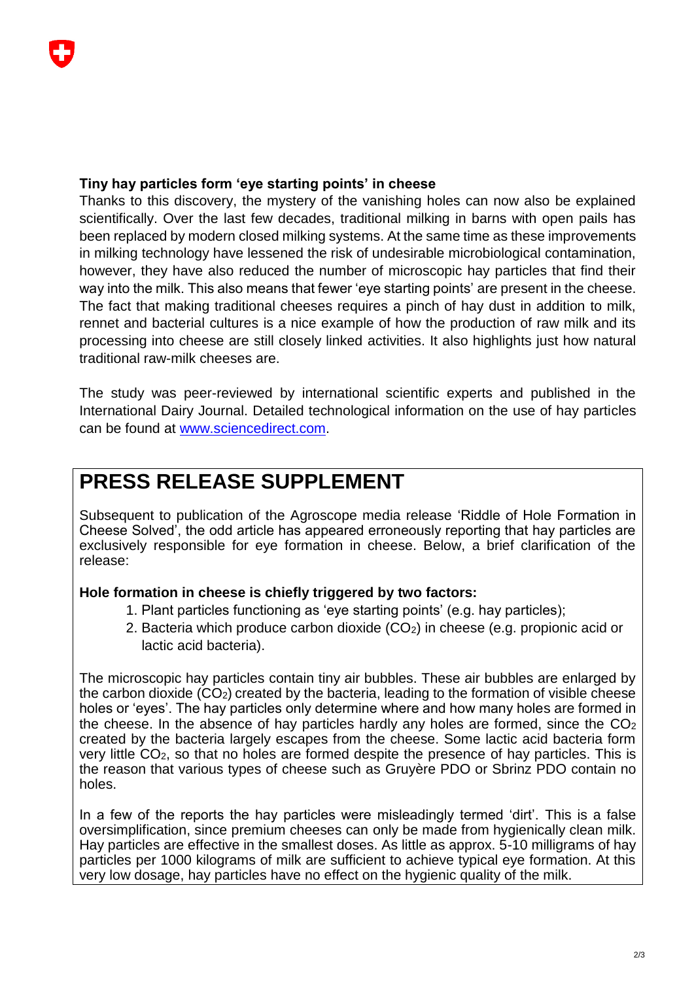#### **Tiny hay particles form 'eye starting points' in cheese**

Thanks to this discovery, the mystery of the vanishing holes can now also be explained scientifically. Over the last few decades, traditional milking in barns with open pails has been replaced by modern closed milking systems. At the same time as these improvements in milking technology have lessened the risk of undesirable microbiological contamination, however, they have also reduced the number of microscopic hay particles that find their way into the milk. This also means that fewer 'eye starting points' are present in the cheese. The fact that making traditional cheeses requires a pinch of hay dust in addition to milk, rennet and bacterial cultures is a nice example of how the production of raw milk and its processing into cheese are still closely linked activities. It also highlights just how natural traditional raw-milk cheeses are.

The study was peer-reviewed by international scientific experts and published in the International Dairy Journal. Detailed technological information on the use of hay particles can be found at [www.sciencedirect.com.](http://www.agroscope.ch/publikationen/einzelpublikation/index.html?lang=de&aid=34781&pid=35097&vmode=fancy)

### **PRESS RELEASE SUPPLEMENT**

Subsequent to publication of the Agroscope media release 'Riddle of Hole Formation in Cheese Solved', the odd article has appeared erroneously reporting that hay particles are exclusively responsible for eye formation in cheese. Below, a brief clarification of the release:

#### **Hole formation in cheese is chiefly triggered by two factors:**

- 1. Plant particles functioning as 'eye starting points' (e.g. hay particles);
- 2. Bacteria which produce carbon dioxide (CO2) in cheese (e.g. propionic acid or lactic acid bacteria).

The microscopic hay particles contain tiny air bubbles. These air bubbles are enlarged by the carbon dioxide (CO2) created by the bacteria, leading to the formation of visible cheese holes or 'eyes'. The hay particles only determine where and how many holes are formed in the cheese. In the absence of hay particles hardly any holes are formed, since the  $CO<sub>2</sub>$ created by the bacteria largely escapes from the cheese. Some lactic acid bacteria form very little CO2, so that no holes are formed despite the presence of hay particles. This is the reason that various types of cheese such as Gruyère PDO or Sbrinz PDO contain no holes.

In a few of the reports the hay particles were misleadingly termed 'dirt'. This is a false oversimplification, since premium cheeses can only be made from hygienically clean milk. Hay particles are effective in the smallest doses. As little as approx. 5-10 milligrams of hay particles per 1000 kilograms of milk are sufficient to achieve typical eye formation. At this very low dosage, hay particles have no effect on the hygienic quality of the milk.